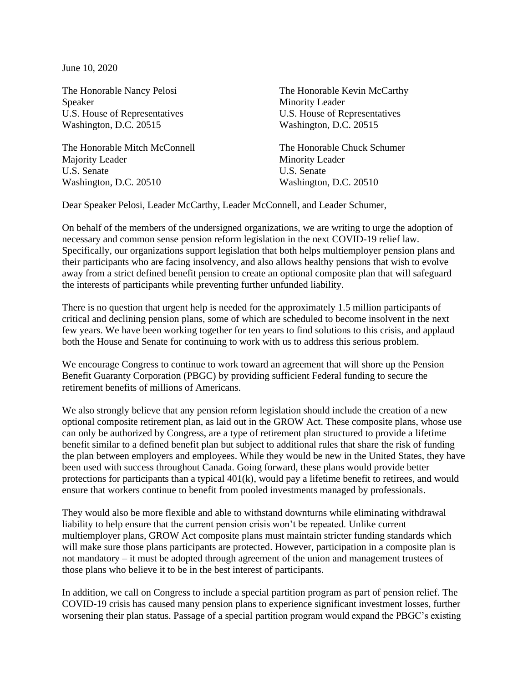June 10, 2020

The Honorable Nancy Pelosi Speaker U.S. House of Representatives Washington, D.C. 20515

The Honorable Mitch McConnell Majority Leader U.S. Senate Washington, D.C. 20510

The Honorable Kevin McCarthy Minority Leader U.S. House of Representatives Washington, D.C. 20515

The Honorable Chuck Schumer Minority Leader U.S. Senate Washington, D.C. 20510

Dear Speaker Pelosi, Leader McCarthy, Leader McConnell, and Leader Schumer,

On behalf of the members of the undersigned organizations, we are writing to urge the adoption of necessary and common sense pension reform legislation in the next COVID-19 relief law. Specifically, our organizations support legislation that both helps multiemployer pension plans and their participants who are facing insolvency, and also allows healthy pensions that wish to evolve away from a strict defined benefit pension to create an optional composite plan that will safeguard the interests of participants while preventing further unfunded liability.

There is no question that urgent help is needed for the approximately 1.5 million participants of critical and declining pension plans, some of which are scheduled to become insolvent in the next few years. We have been working together for ten years to find solutions to this crisis, and applaud both the House and Senate for continuing to work with us to address this serious problem.

We encourage Congress to continue to work toward an agreement that will shore up the Pension Benefit Guaranty Corporation (PBGC) by providing sufficient Federal funding to secure the retirement benefits of millions of Americans.

We also strongly believe that any pension reform legislation should include the creation of a new optional composite retirement plan, as laid out in the GROW Act. These composite plans, whose use can only be authorized by Congress, are a type of retirement plan structured to provide a lifetime benefit similar to a defined benefit plan but subject to additional rules that share the risk of funding the plan between employers and employees. While they would be new in the United States, they have been used with success throughout Canada. Going forward, these plans would provide better protections for participants than a typical 401(k), would pay a lifetime benefit to retirees, and would ensure that workers continue to benefit from pooled investments managed by professionals.

They would also be more flexible and able to withstand downturns while eliminating withdrawal liability to help ensure that the current pension crisis won't be repeated. Unlike current multiemployer plans, GROW Act composite plans must maintain stricter funding standards which will make sure those plans participants are protected. However, participation in a composite plan is not mandatory – it must be adopted through agreement of the union and management trustees of those plans who believe it to be in the best interest of participants.

In addition, we call on Congress to include a special partition program as part of pension relief. The COVID-19 crisis has caused many pension plans to experience significant investment losses, further worsening their plan status. Passage of a special partition program would expand the PBGC's existing